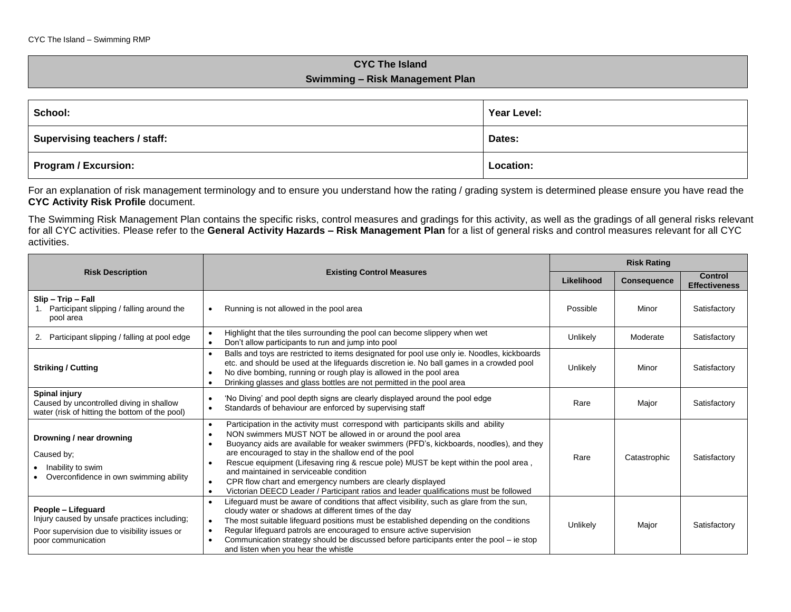## **CYC The Island Swimming – Risk Management Plan**

| School:                       | Year Level:      |  |
|-------------------------------|------------------|--|
| Supervising teachers / staff: | Dates:           |  |
| Program / Excursion:          | <b>Location:</b> |  |

For an explanation of risk management terminology and to ensure you understand how the rating / grading system is determined please ensure you have read the **CYC Activity Risk Profile** document.

The Swimming Risk Management Plan contains the specific risks, control measures and gradings for this activity, as well as the gradings of all general risks relevant for all CYC activities. Please refer to the **General Activity Hazards – Risk Management Plan** for a list of general risks and control measures relevant for all CYC activities.

|                                                                                                                                          |                                                                                                                                                                                                                                                                                                                                                                                                                                                                                                                                                                                                             | <b>Risk Rating</b> |                    |                                        |
|------------------------------------------------------------------------------------------------------------------------------------------|-------------------------------------------------------------------------------------------------------------------------------------------------------------------------------------------------------------------------------------------------------------------------------------------------------------------------------------------------------------------------------------------------------------------------------------------------------------------------------------------------------------------------------------------------------------------------------------------------------------|--------------------|--------------------|----------------------------------------|
| <b>Risk Description</b>                                                                                                                  | <b>Existing Control Measures</b>                                                                                                                                                                                                                                                                                                                                                                                                                                                                                                                                                                            | Likelihood         | <b>Consequence</b> | <b>Control</b><br><b>Effectiveness</b> |
| Slip - Trip - Fall<br>Participant slipping / falling around the<br>pool area                                                             | Running is not allowed in the pool area                                                                                                                                                                                                                                                                                                                                                                                                                                                                                                                                                                     | Possible           | Minor              | Satisfactory                           |
| Participant slipping / falling at pool edge<br>2.                                                                                        | Highlight that the tiles surrounding the pool can become slippery when wet<br>Don't allow participants to run and jump into pool                                                                                                                                                                                                                                                                                                                                                                                                                                                                            | Unlikely           | Moderate           | Satisfactory                           |
| <b>Striking / Cutting</b>                                                                                                                | Balls and toys are restricted to items designated for pool use only ie. Noodles, kickboards<br>etc. and should be used at the lifeguards discretion ie. No ball games in a crowded pool<br>No dive bombing, running or rough play is allowed in the pool area<br>Drinking glasses and glass bottles are not permitted in the pool area                                                                                                                                                                                                                                                                      | Unlikely           | Minor              | Satisfactory                           |
| <b>Spinal injury</b><br>Caused by uncontrolled diving in shallow<br>water (risk of hitting the bottom of the pool)                       | 'No Diving' and pool depth signs are clearly displayed around the pool edge<br>Standards of behaviour are enforced by supervising staff                                                                                                                                                                                                                                                                                                                                                                                                                                                                     | Rare               | Major              | Satisfactory                           |
| Drowning / near drowning<br>Caused by;<br>Inability to swim<br>Overconfidence in own swimming ability                                    | Participation in the activity must correspond with participants skills and ability<br>$\bullet$<br>NON swimmers MUST NOT be allowed in or around the pool area<br>Buoyancy aids are available for weaker swimmers (PFD's, kickboards, noodles), and they<br>are encouraged to stay in the shallow end of the pool<br>Rescue equipment (Lifesaving ring & rescue pole) MUST be kept within the pool area,<br>and maintained in serviceable condition<br>CPR flow chart and emergency numbers are clearly displayed<br>Victorian DEECD Leader / Participant ratios and leader qualifications must be followed | Rare               | Catastrophic       | Satisfactory                           |
| People - Lifequard<br>Injury caused by unsafe practices including;<br>Poor supervision due to visibility issues or<br>poor communication | Lifeguard must be aware of conditions that affect visibility, such as glare from the sun,<br>cloudy water or shadows at different times of the day<br>The most suitable lifeguard positions must be established depending on the conditions<br>$\bullet$<br>Regular lifeguard patrols are encouraged to ensure active supervision<br>Communication strategy should be discussed before participants enter the pool – ie stop<br>and listen when you hear the whistle                                                                                                                                        | Unlikely           | Major              | Satisfactory                           |